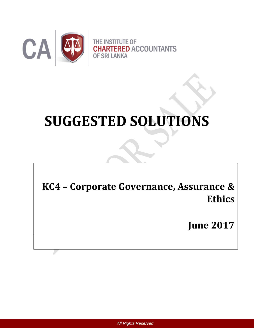

# **SUGGESTED SOLUTIONS**

**KC4 – Corporate Governance, Assurance & Ethics**

**June 2017**

*All Rights Reserved*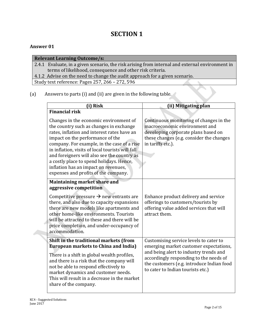## **SECTION 1**

## **Answer 01**

| <b>Relevant Learning Outcome/s:</b> |                                                                                                 |  |  |  |
|-------------------------------------|-------------------------------------------------------------------------------------------------|--|--|--|
|                                     | 2.4.1 Evaluate, in a given scenario, the risk arising from internal and external environment in |  |  |  |
|                                     | terms of likelihood, consequence and other risk criteria.                                       |  |  |  |
|                                     |                                                                                                 |  |  |  |

4.1.2 Advise on the need to change the audit approach for a given scenario.

Study text reference: Pages 257, 266 – 272, 596

## (a) Answers to parts (i) and (ii) are given in the following table.

| (i) Risk                                                                                                                                                                                                                                                                                                                                                                                                                                           | (ii) Mitigating plan                                                                                                                                                                                                                                   |  |
|----------------------------------------------------------------------------------------------------------------------------------------------------------------------------------------------------------------------------------------------------------------------------------------------------------------------------------------------------------------------------------------------------------------------------------------------------|--------------------------------------------------------------------------------------------------------------------------------------------------------------------------------------------------------------------------------------------------------|--|
| <b>Financial risk</b>                                                                                                                                                                                                                                                                                                                                                                                                                              |                                                                                                                                                                                                                                                        |  |
| Changes in the economic environment of<br>the country such as changes in exchange<br>rates, inflation and interest rates have an<br>impact on the performance of the<br>company. For example, in the case of a rise<br>in inflation, visits of local tourists will fall<br>and foreigners will also see the country as<br>a costly place to spend holidays. Hence,<br>inflation has an impact on revenues,<br>expenses and profits of the company. | Continuous monitoring of changes in the<br>macroeconomic environment and<br>developing corporate plans based on<br>these changes (e.g. consider the changes<br>in tariffs etc.).                                                                       |  |
| Maintaining market share and<br>aggressive competition                                                                                                                                                                                                                                                                                                                                                                                             |                                                                                                                                                                                                                                                        |  |
| Competitive pressure $\rightarrow$ new entrants are<br>there, and also due to capacity expansions<br>there are new models like apartments and<br>other home-like environments. Tourists<br>will be attracted to these and there will be<br>price completion, and under-occupancy of<br>accommodation.                                                                                                                                              | Enhance product delivery and service<br>offerings to customers/tourists by<br>offering value added services that will<br>attract them.                                                                                                                 |  |
| Shift in the traditional markets (from<br>European markets to China and India)<br>There is a shift in global wealth profiles,<br>and there is a risk that the company will<br>not be able to respond effectively to<br>market dynamics and customer needs.<br>This will result in a decrease in the market<br>share of the company.                                                                                                                | Customising service levels to cater to<br>emerging market customer expectations,<br>and being alert to industry trends and<br>accordingly responding to the needs of<br>the customers (e.g. introduce Indian food<br>to cater to Indian tourists etc.) |  |
|                                                                                                                                                                                                                                                                                                                                                                                                                                                    |                                                                                                                                                                                                                                                        |  |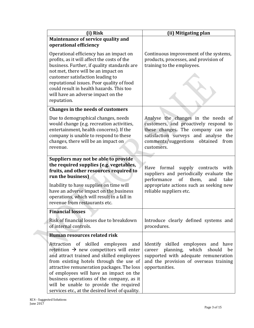| (i) Risk                                                                                                                                                                                                                                                                                                                                                                                                                   | (ii) Mitigating plan                                                                                                                                                                                           |  |
|----------------------------------------------------------------------------------------------------------------------------------------------------------------------------------------------------------------------------------------------------------------------------------------------------------------------------------------------------------------------------------------------------------------------------|----------------------------------------------------------------------------------------------------------------------------------------------------------------------------------------------------------------|--|
| Maintenance of service quality and                                                                                                                                                                                                                                                                                                                                                                                         |                                                                                                                                                                                                                |  |
| operational efficiency                                                                                                                                                                                                                                                                                                                                                                                                     |                                                                                                                                                                                                                |  |
| Operational efficiency has an impact on<br>profits, as it will affect the costs of the<br>business. Further, if quality standards are<br>not met, there will be an impact on<br>customer satisfaction leading to<br>reputational issues. Poor quality of food<br>could result in health hazards. This too<br>will have an adverse impact on the<br>reputation.                                                             | Continuous improvement of the systems,<br>products, processes, and provision of<br>training to the employees.                                                                                                  |  |
| <b>Changes in the needs of customers</b>                                                                                                                                                                                                                                                                                                                                                                                   |                                                                                                                                                                                                                |  |
| Due to demographical changes, needs<br>would change (e.g. recreation activities,<br>entertainment, health concerns). If the<br>company is unable to respond to these<br>changes, there will be an impact on<br>revenue.                                                                                                                                                                                                    | Analyse the changes in the needs of<br>customers, and proactively respond to<br>these changes. The company can use<br>satisfaction surveys and analyse the<br>comments/suggestions obtained from<br>customers. |  |
| Suppliers may not be able to provide                                                                                                                                                                                                                                                                                                                                                                                       |                                                                                                                                                                                                                |  |
| the required supplies (e.g. vegetables,<br>fruits, and other resources required to<br>run the business)<br>Inability to have supplies on time will<br>have an adverse impact on the business<br>operations, which will result in a fall in<br>revenue from restaurants etc.                                                                                                                                                | Have formal supply contracts with<br>suppliers and periodically evaluate the<br>of<br>performance<br>them,<br>take<br>and<br>appropriate actions such as seeking new<br>reliable suppliers etc.                |  |
| <b>Financial losses</b>                                                                                                                                                                                                                                                                                                                                                                                                    |                                                                                                                                                                                                                |  |
| Risk of financial losses due to breakdown<br>of internal controls.                                                                                                                                                                                                                                                                                                                                                         | Introduce clearly defined systems and<br>procedures.                                                                                                                                                           |  |
| Human resources related risk                                                                                                                                                                                                                                                                                                                                                                                               |                                                                                                                                                                                                                |  |
| Attraction of skilled<br>employees<br>and<br>retention $\rightarrow$ new competitors will enter<br>and attract trained and skilled employees<br>from existing hotels through the use of<br>attractive remuneration packages. The loss<br>of employees will have an impact on the<br>business operations of the company, as it<br>will be unable to provide the required<br>services etc., at the desired level of quality. | Identify skilled employees and have<br>career planning, which<br>should<br>be<br>supported with adequate remuneration<br>and the provision of overseas training<br>opportunities.                              |  |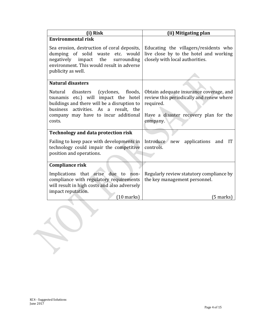| (i) Risk                                                                                                                                                                                       | (ii) Mitigating plan                                                                                               |
|------------------------------------------------------------------------------------------------------------------------------------------------------------------------------------------------|--------------------------------------------------------------------------------------------------------------------|
| <b>Environmental risk</b>                                                                                                                                                                      |                                                                                                                    |
| Sea erosion, destruction of coral deposits,<br>dumping of solid waste<br>etc. would<br>negatively impact the<br>surrounding<br>environment. This would result in adverse<br>publicity as well. | Educating the villagers/residents who<br>live close by to the hotel and working<br>closely with local authorities. |
| <b>Natural disasters</b>                                                                                                                                                                       |                                                                                                                    |
| disasters (cyclones, floods,<br>Natural<br>tsunamis etc.) will impact the hotel<br>buildings and there will be a disruption to<br>activities. As a result, the<br>business                     | Obtain adequate insurance coverage, and<br>review this periodically and renew where<br>required.                   |
| company may have to incur additional<br>costs.                                                                                                                                                 | Have a disaster recovery plan for the<br>company.                                                                  |
| <b>Technology and data protection risk</b>                                                                                                                                                     |                                                                                                                    |
| Failing to keep pace with developments in<br>technology could impair the competitive<br>position and operations.                                                                               | Introduce new<br>applications<br><b>IT</b><br>and<br>controls.                                                     |
| <b>Compliance risk</b>                                                                                                                                                                         |                                                                                                                    |
| Implications that arise due to<br>non-<br>compliance with regulatory requirements<br>will result in high costs and also adversely<br>impact reputation.                                        | Regularly review statutory compliance by<br>the key management personnel.                                          |
| $(10 \text{ marks})$                                                                                                                                                                           | (5 marks)                                                                                                          |

 $\mathscr{L}$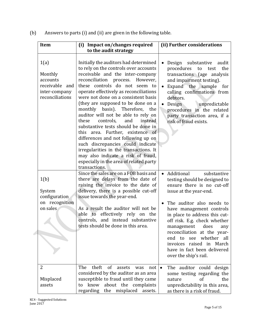| Answers to parts (i) and (ii) are given in the following table. | (b) |  |  |  |  |  |
|-----------------------------------------------------------------|-----|--|--|--|--|--|
|-----------------------------------------------------------------|-----|--|--|--|--|--|

| Item                                                                                 | (i) Impact on/changes required<br>to the audit strategy                                                                                                                                                                                                                                                                                                                                                                                                                                                                                                                                                                                                                                                                               | (ii) Further considerations                                                                                                                                                                                                                                                                                                                                                                                                      |
|--------------------------------------------------------------------------------------|---------------------------------------------------------------------------------------------------------------------------------------------------------------------------------------------------------------------------------------------------------------------------------------------------------------------------------------------------------------------------------------------------------------------------------------------------------------------------------------------------------------------------------------------------------------------------------------------------------------------------------------------------------------------------------------------------------------------------------------|----------------------------------------------------------------------------------------------------------------------------------------------------------------------------------------------------------------------------------------------------------------------------------------------------------------------------------------------------------------------------------------------------------------------------------|
| 1(a)<br>Monthly<br>accounts<br>receivable<br>and<br>inter-company<br>reconciliations | Initially the auditors had determined<br>to rely on the controls over accounts<br>receivable and the inter-company<br>reconciliation process.<br>However,<br>these controls do not seem to<br>operate effectively as reconciliations<br>were not done on a consistent basis<br>(they are supposed to be done on a<br>monthly basis). Therefore, the<br>auditor will not be able to rely on<br>controls,<br>these<br>and<br>instead<br>substantive tests should be done in<br>this area. Further, existence of<br>differences and not following up on<br>such discrepancies could indicate<br>irregularities in the transactions. It<br>may also indicate a risk of fraud,<br>especially in the area of related party<br>transactions. | Design substantive<br>audit<br>procedures<br>to<br>test<br>the<br>transactions (age analysis<br>and impairment testing).<br>Expand the sample<br>for<br>$\bullet$<br>calling confirmations from<br>debtors.<br>Design<br>unpredictable<br>procedures in the related<br>party transaction area, if a<br>risk of fraud exists.                                                                                                     |
| 1(b)<br>System<br>configuration<br>on recognition<br>on sales                        | Since the sales are on a FOB basis and<br>there are delays from the date of<br>raising the invoice to the date of<br>delivery, there is a possible cut-off<br>issue towards the year-end.<br>As a result the auditor will not be<br>able to effectively rely on the<br>controls, and instead substantive<br>tests should be done in this area.                                                                                                                                                                                                                                                                                                                                                                                        | Additional<br>$\bullet$<br>substantive<br>testing should be designed to<br>ensure there is no cut-off<br>issue at the year-end.<br>The auditor also needs to<br>have management controls<br>in place to address this cut-<br>off risk. E.g. check whether<br>management does<br>any<br>reconciliation at the year-<br>end to see whether all<br>invoices raised in March<br>have in fact been delivered<br>over the ship's rail. |
| 2<br>Misplaced<br>assets                                                             | theft<br>The<br><sub>of</sub><br>assets<br>was<br>$not \,$<br>considered by the auditor as an area<br>susceptible to fraud until they came<br>to know<br>about the complaints<br>regarding the misplaced assets.                                                                                                                                                                                                                                                                                                                                                                                                                                                                                                                      | The auditor could design<br>some testing regarding the<br>nature<br>of<br>the<br>unpredictability in this area,<br>as there is a risk of fraud.                                                                                                                                                                                                                                                                                  |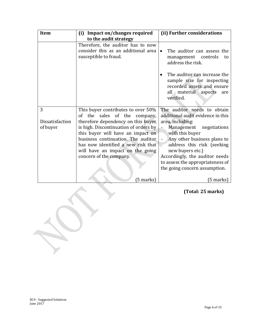| <b>Item</b>                      | <b>Impact on/changes required</b><br>(i)<br>to the audit strategy                                                                                                                                                                                                                                                                 | (ii) Further considerations                                                                                                                                                                                                                                                                                                                                    |
|----------------------------------|-----------------------------------------------------------------------------------------------------------------------------------------------------------------------------------------------------------------------------------------------------------------------------------------------------------------------------------|----------------------------------------------------------------------------------------------------------------------------------------------------------------------------------------------------------------------------------------------------------------------------------------------------------------------------------------------------------------|
|                                  | Therefore, the auditor has to now<br>consider this as an additional area<br>susceptible to fraud.                                                                                                                                                                                                                                 | The auditor can assess the<br>management controls<br>to<br>address the risk.<br>The auditor can increase the<br>sample size for inspecting<br>recorded assets and ensure<br>all material aspects<br>are<br>verified.                                                                                                                                           |
| 3<br>Dissatisfaction<br>of buyer | This buyer contributes to over 50%<br>of the sales of the company,<br>therefore dependency on this buyer<br>is high. Discontinuation of orders by<br>this buyer will have an impact on<br>business continuation. The auditor<br>has now identified a new risk that<br>will have an impact on the going<br>concern of the company. | The auditor needs to obtain<br>additional audit evidence in this<br>area, including:<br>Management negotiations<br>$\blacksquare$<br>with this buyer<br>Any other business plans to<br>$\blacksquare$<br>address this risk (seeking<br>new buyers etc.)<br>Accordingly, the auditor needs<br>to assess the appropriateness of<br>the going concern assumption. |
|                                  | (5 marks)                                                                                                                                                                                                                                                                                                                         | (5 marks)                                                                                                                                                                                                                                                                                                                                                      |

**(Total: 25 marks)**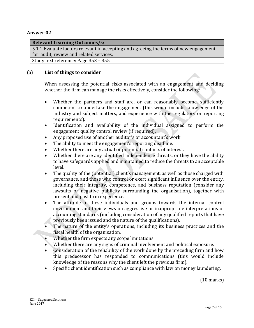### **Answer 02**

#### **Relevant Learning Outcomes/s:**

5.1.1 Evaluate factors relevant in accepting and agreeing the terms of new engagement for audit, review and related services.

Study text reference: Page 353 – 355

#### (a) **List of things to consider**

When assessing the potential risks associated with an engagement and deciding whether the firm can manage the risks effectively, consider the following:

- Whether the partners and staff are, or can reasonably become, sufficiently competent to undertake the engagement (this would include knowledge of the industry and subject matters, and experience with the regulatory or reporting requirements).
- Identification and availability of the individual assigned to perform the engagement quality control review (if required).
- Any proposed use of another auditor's or accountant's work.
- The ability to meet the engagement's reporting deadline.
- Whether there are any actual or potential conflicts of interest.
- Whether there are any identified independence threats, or they have the ability to have safeguards applied and maintained to reduce the threats to an acceptable level.
- The quality of the (potential) client's management, as well as those charged with governance, and those who control or exert significant influence over the entity, including their integrity, competence, and business reputation (consider any lawsuits or negative publicity surrounding the organisation), together with present and past firm experience.
- The attitude of these individuals and groups towards the internal control environment and their views on aggressive or inappropriate interpretations of accounting standards (including consideration of any qualified reports that have previously been issued and the nature of the qualifications).
- The nature of the entity's operations, including its business practices and the fiscal health of the organisation.
- Whether the firm expects any scope limitations.
- Whether there are any signs of criminal involvement and political exposure.
- Consideration of the reliability of the work done by the preceding firm and how this predecessor has responded to communications (this would include knowledge of the reasons why the client left the previous firm).
- Specific client identification such as compliance with law on money laundering.

(10 marks)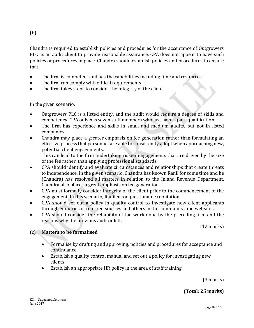## (b)

Chandra is required to establish policies and procedures for the acceptance of Outgrowers PLC as an audit client to provide reasonable assurance. CPA does not appear to have such policies or procedures in place. Chandra should establish policies and procedures to ensure that:

- The firm is competent and has the capabilities including time and resources
- The firm can comply with ethical requirements
- The firm takes steps to consider the integrity of the client

In the given scenario:

- Outgrowers PLC is a listed entity, and the audit would require a degree of skills and competency. CPA only has seven staff members who just have a part-qualification.
- The firm has experience and skills in small and medium audits, but not in listed companies.
- Chandra may place a greater emphasis on fee generation rather than formulating an effective process that personnel are able to consistently adopt when approaching new, potential client engagements.

This can lead to the firm undertaking riskier engagements that are driven by the size of the fee rather, than applying professional standards

- CPA should identify and evaluate circumstances and relationships that create threats to independence. In the given scenario, Chandra has known Ranil for some time and he (Chandra) has resolved all matters in relation to the Inland Revenue Department. Chandra also places a great emphasis on fee generation.
- CPA must formally consider integrity of the client prior to the commencement of the engagement. In this scenario, Ranil has a questionable reputation.
- CPA should set out a policy in quality control to investigate new client applicants through enquiries of referred sources and others in the community, and websites.
- CPA should consider the reliability of the work done by the preceding firm and the reasons why the previous auditor left.

(12 marks)

## (c) **Matters to be formalised**

- Formalise by drafting and approving, policies and procedures for acceptance and continuance
- Establish a quality control manual and set out a policy for investigating new clients.
- Establish an appropriate HR policy in the area of staff training.

(3 marks)

## **(Total: 25 marks)**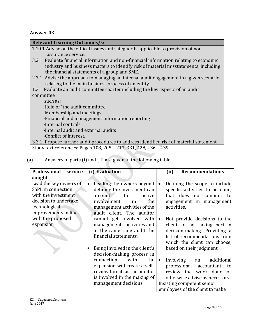## **Answer 03**

| <b>Relevant Learning Outcomes/s:</b>                                                     |  |  |
|------------------------------------------------------------------------------------------|--|--|
| 1.10.1 Advise on the ethical issues and safeguards applicable to provision of non-       |  |  |
| assurance service.                                                                       |  |  |
| 3.2.1 Evaluate financial information and non-financial information relating to economic  |  |  |
| industry and business matters to identify risk of material misstatements, including      |  |  |
| the financial statements of a group and SME.                                             |  |  |
| 2.7.1 Advise the approach to managing an internal audit engagement in a given scenario   |  |  |
| relating to the main business process of an entity.                                      |  |  |
| 1.3.1 Evaluate an audit committee charter including the key aspects of an audit          |  |  |
| committee                                                                                |  |  |
| such as:                                                                                 |  |  |
| -Role of "the audit committee"                                                           |  |  |
| -Membership and meetings                                                                 |  |  |
| -Financial and management information reporting                                          |  |  |
| -Internal controls                                                                       |  |  |
| -Internal audit and external audits                                                      |  |  |
| -Conflict of interest.                                                                   |  |  |
| 3.3.1 Propose further audit procedures to address identified risk of material statement. |  |  |
| Study text references: Pages 108, 205 - 213, 331, 428, 436 - 439                         |  |  |
|                                                                                          |  |  |

(a) Answers to parts (i) and (ii) are given in the following table.

| Professional<br>service                                                                                                                                                  | (i) Evaluation                                                                                                                                                                                                                                                                                                                                                                                                                                                                                                      | <b>Recommendations</b><br>(ii)                                                                                                                                                                                                                                                                                                                                                                                                                                                                                                                                                   |
|--------------------------------------------------------------------------------------------------------------------------------------------------------------------------|---------------------------------------------------------------------------------------------------------------------------------------------------------------------------------------------------------------------------------------------------------------------------------------------------------------------------------------------------------------------------------------------------------------------------------------------------------------------------------------------------------------------|----------------------------------------------------------------------------------------------------------------------------------------------------------------------------------------------------------------------------------------------------------------------------------------------------------------------------------------------------------------------------------------------------------------------------------------------------------------------------------------------------------------------------------------------------------------------------------|
| sought                                                                                                                                                                   |                                                                                                                                                                                                                                                                                                                                                                                                                                                                                                                     |                                                                                                                                                                                                                                                                                                                                                                                                                                                                                                                                                                                  |
| Lead the key owners of<br>SSPL in connection<br>with the investment.<br>decision to undertake<br>technological<br>improvements in line<br>with the proposed<br>expansion | Leading the owners beyond<br>defining the investment can<br>active<br>amount<br>to<br>involvement<br>the<br>in<br>management activities of the<br>audit client. The auditor<br>cannot get involved with<br>management activities and<br>at the same time audit the<br>financial statements.<br>Being involved in the client's<br>decision-making process in<br>the<br>connection<br>with<br>expansion will create a self-<br>review threat, as the auditor<br>is involved in the making of<br>management decisions. | Defining the scope to include<br>$\bullet$<br>specific activities to be done,<br>that does not amount to<br>engagement in management<br>activities.<br>Not provide decisions to the<br>$\bullet$<br>client, or not taking part in<br>decision-making. Providing a<br>list of recommendations from<br>which the client can choose,<br>based on their judgment.<br>Involving<br>additional<br>$\bullet$<br>an<br>professional<br>accountant<br>to<br>review the work done<br>or<br>otherwise advise as necessary.<br>Insisting competent senior<br>employees of the client to make |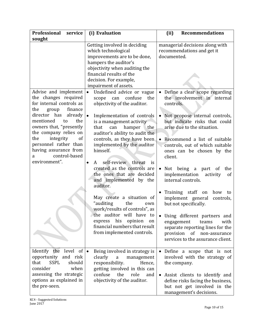| Professional<br>service<br>sought                                                                                                                                                                                                                                                                                               | (i) Evaluation                                                                                                                                                                                                                                                                                                                                                                                                                                                                                                                                                                           | <b>Recommendations</b><br>(ii)                                                                                                                                                                                                                                                                                                                                                                                                                                                                                 |
|---------------------------------------------------------------------------------------------------------------------------------------------------------------------------------------------------------------------------------------------------------------------------------------------------------------------------------|------------------------------------------------------------------------------------------------------------------------------------------------------------------------------------------------------------------------------------------------------------------------------------------------------------------------------------------------------------------------------------------------------------------------------------------------------------------------------------------------------------------------------------------------------------------------------------------|----------------------------------------------------------------------------------------------------------------------------------------------------------------------------------------------------------------------------------------------------------------------------------------------------------------------------------------------------------------------------------------------------------------------------------------------------------------------------------------------------------------|
|                                                                                                                                                                                                                                                                                                                                 | Getting involved in deciding<br>which technological<br>improvements are to be done,<br>hampers the auditor's<br>objectivity when auditing the<br>financial results of the<br>decision. For example,<br>impairment of assets.                                                                                                                                                                                                                                                                                                                                                             | managerial decisions along with<br>recommendations and get it<br>documented.                                                                                                                                                                                                                                                                                                                                                                                                                                   |
| Advise and implement<br>the changes required<br>for internal controls as<br>the<br>finance<br>group<br>director has<br>already<br>the<br>mentioned<br>to<br>owners that, "presently<br>the company relies on<br>integrity<br>the<br>of<br>personnel rather than<br>having assurance from<br>control-based<br>a<br>environment". | Undefined advice or vague<br>$\bullet$<br>confuse the<br>scope can<br>objectivity of the auditor.<br>Implementation of controls<br>$\bullet$<br>is a management activity<br>hamper<br>that<br>can<br>the<br>auditor's ability to audit the<br>controls, as they have been<br>implemented by the auditor<br>himself.<br>self-review threat<br>A<br>is<br>$\bullet$<br>created as the controls are<br>the ones that are decided<br>and implemented by the<br>auditor.<br>May create a situation of<br>"auditing<br>the<br>own<br>work/results of controls", as<br>the auditor will have to | Define a clear scope regarding<br>the involvement in internal<br>controls.<br>Not propose internal controls,<br>but indicate risks that could<br>arise due to the situation.<br>• Recommend a list of suitable<br>controls, out of which suitable<br>ones can be chosen by the<br>client.<br>Not being a part of<br>the<br>implementation<br>activity<br>of<br>internal controls.<br>Training staff on<br>how<br>to<br>implement general<br>controls,<br>but not specifically.<br>Using different partners and |
|                                                                                                                                                                                                                                                                                                                                 | his<br>opinion<br>express<br>on<br>financial numbers that result<br>from implemented controls.                                                                                                                                                                                                                                                                                                                                                                                                                                                                                           | with<br>engagement<br>teams<br>separate reporting lines for the<br>provision of non-assurance<br>services to the assurance client.                                                                                                                                                                                                                                                                                                                                                                             |
| level of $\bullet$<br>Identify the<br>opportunity and risk<br><b>SSPL</b><br>that<br>should<br>when<br>consider<br>assessing the strategic<br>options as explained in<br>the pre-seen.                                                                                                                                          | Being involved in strategy is<br>clearly<br>a<br>management<br>responsibility.<br>Hence,<br>getting involved in this can<br>confuse the<br>role<br>and<br>objectivity of the auditor.                                                                                                                                                                                                                                                                                                                                                                                                    | • Define a scope that is not<br>involved with the strategy of<br>the company.<br>• Assist clients to identify and<br>define risks facing the business,<br>but not get involved in the<br>management's decisions.                                                                                                                                                                                                                                                                                               |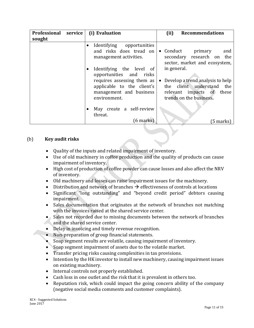| Professional service | (i) Evaluation                                                                                                                                                          | (ii)<br><b>Recommendations</b>                                                                                                                 |
|----------------------|-------------------------------------------------------------------------------------------------------------------------------------------------------------------------|------------------------------------------------------------------------------------------------------------------------------------------------|
| sought               | Identifying opportunities<br>$\bullet$<br>and risks does tread on<br>management activities.                                                                             | • Conduct<br>primary<br>and<br>secondary research on the<br>sector, market and ecosystem,                                                      |
|                      | Identifying the level of<br>$\bullet$<br>opportunities and risks<br>requires assessing them as<br>applicable to the client's<br>management and business<br>environment. | in general.<br>$\bullet$ Develop a trend analysis to help<br>the client understand the<br>relevant impacts of these<br>trends on the business. |
|                      | May create a self-review<br>threat.<br>$(6 \text{ marks})$                                                                                                              | [5 marks]                                                                                                                                      |

## (b) **Key audit risks**

- Quality of the inputs and related impairment of inventory.
- Use of old machinery in coffee production and the quality of products can cause impairment of inventory.
- High cost of production of coffee powder can cause losses and also affect the NRV of inventory.
- Old machinery and losses can raise impairment issues for the machinery.
- Distribution and network of branches  $\rightarrow$  effectiveness of controls at locations
- Significant "long outstanding" and "beyond credit period" debtors causing impairment.
- Sales documentation that originates at the network of branches not matching with the invoices raised at the shared service center.
- Sales not recorded due to missing documents between the network of branches and the shared service center.
- Delay in invoicing and timely revenue recognition.
- Non-preparation of group financial statements.
- Soap segment results are volatile, causing impairment of inventory.
- Soap segment impairment of assets due to the volatile market.
- Transfer pricing risks causing complexities in tax provisions.
- Intention by the HK investor to install new machinery, causing impairment issues on existing machinery.
- Internal controls not properly established.
- Cash loss in one outlet and the risk that it is prevalent in others too.
- Reputation risk, which could impact the going concern ability of the company (negative social media comments and customer complaints).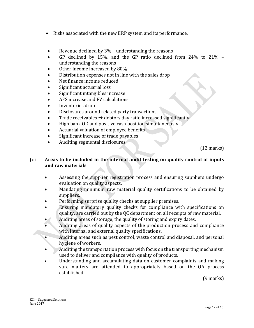- Risks associated with the new ERP system and its performance.
- Exercise Revenue declined by  $3\%$  understanding the reasons
- GP declined by 15%, and the GP ratio declined from 24% to 21% understanding the reasons
- Other income increased by 80%
- Distribution expenses not in line with the sales drop
- Net finance income reduced
- Significant actuarial loss
- Significant intangibles increase
- AFS increase and FV calculations
- Inventories drop
- Disclosures around related party transactions
- Trade receivables  $\rightarrow$  debtors day ratio increased significantly
- High bank OD and positive cash position simultaneously
- Actuarial valuation of employee benefits
- Significant increase of trade payables
- Auditing segmental disclosures

(12 marks)

## (c) **Areas to be included in the internal audit testing on quality control of inputs and raw materials**

- Assessing the supplier registration process and ensuring suppliers undergo evaluation on quality aspects.
- Mandating minimum raw material quality certifications to be obtained by suppliers.
- Performing surprise quality checks at supplier premises.
- Ensuring mandatory quality checks for compliance with specifications on quality, are carried out by the QC department on all receipts of raw material.
- Auditing areas of storage, the quality of storing and expiry dates.
- Auditing areas of quality aspects of the production process and compliance with internal and external quality specifications.
- Auditing areas such as pest control, waste control and disposal, and personal hygiene of workers.
- Auditing the transportation process with focus on the transporting mechanism used to deliver and compliance with quality of products.
- Understanding and accumulating data on customer complaints and making sure matters are attended to appropriately based on the QA process established.

(9 marks)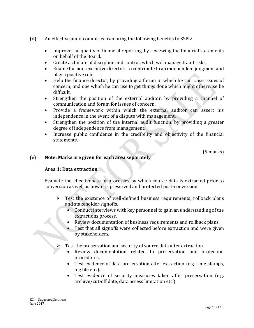- (d) An effective audit committee can bring the following benefits to SSPL:
	- Improve the quality of financial reporting, by reviewing the financial statements on behalf of the Board.
	- Create a climate of discipline and control, which will manage fraud risks.
	- Enable the non-executive directors to contribute to an independent judgment and play a positive role.
	- Help the finance director, by providing a forum in which he can raise issues of concern, and one which he can use to get things done which might otherwise be difficult.
	- Strengthen the position of the external auditor, by providing a channel of communication and forum for issues of concern.
	- Provide a framework within which the external auditor can assert his independence in the event of a dispute with management.
	- Strengthen the position of the internal audit function, by providing a greater degree of independence from management.
	- Increase public confidence in the credibility and objectivity of the financial statements.

(9 marks)

## (e) **Note: Marks are given for each area separately**

#### **Area 1: Data extraction**

Evaluate the effectiveness of processes by which source data is extracted prior to conversion as well as how it is preserved and protected post-conversion

- $\triangleright$  Test the existence of well-defined business requirements, rollback plans and stakeholder signoffs.
	- Conduct interviews with key personnel to gain an understanding of the extractions process.
	- Review documentation of business requirements and rollback plans.
	- Test that all signoffs were collected before extraction and were given by stakeholders.
	- Test the preservation and security of source data after extraction.
		- Review documentation related to preservation and protection procedures.
		- Test evidence of data preservation after extraction (e.g. time stamps, log file etc.).
		- Test evidence of security measures taken after preservation (e.g. archive/cut-off date, data access limitation etc.)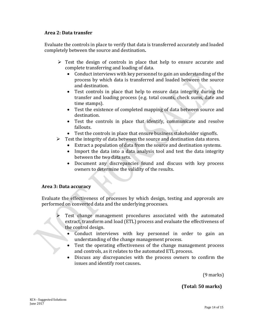## **Area 2: Data transfer**

Evaluate the controls in place to verify that data is transferred accurately and loaded completely between the source and destination**.**

- $\triangleright$  Test the design of controls in place that help to ensure accurate and complete transferring and loading of data.
	- Conduct interviews with key personnel to gain an understanding of the process by which data is transferred and loaded between the source and destination.
	- Test controls in place that help to ensure data integrity during the transfer and loading process (e.g. total counts, check sums, date and time stamps).
	- Test the existence of completed mapping of data between source and destination.
	- Test the controls in place that identify, communicate and resolve fallouts.
	- Test the controls in place that ensure business stakeholder signoffs.
- $\triangleright$  Test the integrity of data between the source and destination data stores.
	- Extract a population of data from the source and destination systems.
	- Import the data into a data analysis tool and test the data integrity between the two data sets.
	- Document any discrepancies found and discuss with key process owners to determine the validity of the results.

#### **Area 3: Data accuracy**

Evaluate the effectiveness of processes by which design, testing and approvals are performed on converted data and the underlying processes.

- Test change management procedures associated with the automated extract, transform and load (ETL) process and evaluate the effectiveness of the control design.
	- Conduct interviews with key personnel in order to gain an understanding of the change management process.
	- Test the operating effectiveness of the change management process and controls, as it relates to the automated ETL process.
	- Discuss any discrepancies with the process owners to confirm the issues and identify root causes**.**

(9 marks)

**(Total: 50 marks)**